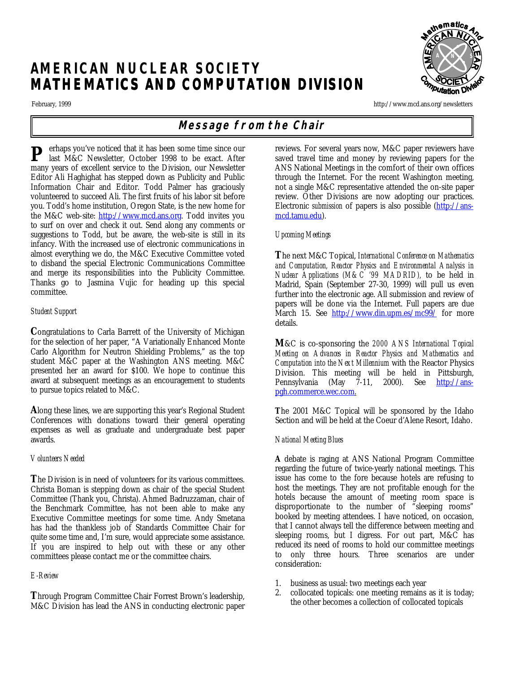# **AMERICAN NUCLEAR SOCIETY MATHEMATICS AND COMPUTATION DIVISION**

February, 1999 http://www.mcd.ans.org/newsletters

## **Message from the Chair**

erhaps you've noticed that it has been some time since our last M&C Newsletter, October 1998 to be exact. After many years of excellent service to the Division, our Newsletter Editor Ali Haghighat has stepped down as Publicity and Public Information Chair and Editor. Todd Palmer has graciously volunteered to succeed Ali. The first fruits of his labor sit before you. Todd's home institution, Oregon State, is the new home for the M&C web-site: http://www.mcd.ans.org. Todd invites you to surf on over and check it out. Send along any comments or suggestions to Todd, but be aware, the web-site is still in its infancy. With the increased use of electronic communications in almost everything we do, the M&C Executive Committee voted to disband the special Electronic Communications Committee and merge its responsibilities into the Publicity Committee. Thanks go to Jasmina Vujic for heading up this special committee. **P**

## *Student Support*

**C**ongratulations to Carla Barrett of the University of Michigan for the selection of her paper, "A Variationally Enhanced Monte Carlo Algorithm for Neutron Shielding Problems," as the top student M&C paper at the Washington ANS meeting. M&C presented her an award for \$100. We hope to continue this award at subsequent meetings as an encouragement to students to pursue topics related to M&C.

**A**long these lines, we are supporting this year's Regional Student Conferences with donations toward their general operating expenses as well as graduate and undergraduate best paper awards.

## *Volunteers Needed*

**T**he Division is in need of volunteers for its various committees. Christa Boman is stepping down as chair of the special Student Committee (Thank you, Christa). Ahmed Badruzzaman, chair of the Benchmark Committee, has not been able to make any Executive Committee meetings for some time. Andy Smetana has had the thankless job of Standards Committee Chair for quite some time and, I'm sure, would appreciate some assistance. If you are inspired to help out with these or any other committees please contact me or the committee chairs.

## *E-Review*

**T**hrough Program Committee Chair Forrest Brown's leadership, M&C Division has lead the ANS in conducting electronic paper reviews. For several years now, M&C paper reviewers have saved travel time and money by reviewing papers for the ANS National Meetings in the comfort of their own offices through the Internet. For the recent Washington meeting, not a single M&C representative attended the on-site paper review. Other Divisions are now adopting our practices. Electronic *submission* of papers is also possible (http://ansmcd.tamu.edu).

## *Upcoming Meetings*

**T**he next M&C Topical, *International Conference on Mathematics and Computation, Reactor Physics and Environmental Analysis in Nuclear Applications (M&C '99 MADRID),* to be held in Madrid, Spain (September 27-30, 1999) will pull us even further into the electronic age. All submission and review of papers will be done via the Internet. Full papers are due March 15. See http://www.din.upm.es/mc99/ for more details.

**M**&C is co-sponsoring the *2000 ANS International Topical Meeting on Advances in Reactor Physics and Mathematics and Computation into the Next Millennium* with the Reactor Physics Division. This meeting will be held in Pittsburgh, Pennsylvania (May 7-11, 2000). See http://anspgh.commerce.wec.com.

**T**he 2001 M&C Topical will be sponsored by the Idaho Section and will be held at the Coeur d'Alene Resort, Idaho.

## *National Meeting Blues*

**A** debate is raging at ANS National Program Committee regarding the future of twice-yearly national meetings. This issue has come to the fore because hotels are refusing to host the meetings. They are not profitable enough for the hotels because the amount of meeting room space is disproportionate to the number of "sleeping rooms" booked by meeting attendees. I have noticed, on occasion, that I cannot always tell the difference between meeting and sleeping rooms, but I digress. For out part, M&C has reduced its need of rooms to hold our committee meetings to only three hours. Three scenarios are under consideration:

- 1. business as usual: two meetings each year
- 2. collocated topicals: one meeting remains as it is today; the other becomes a collection of collocated topicals

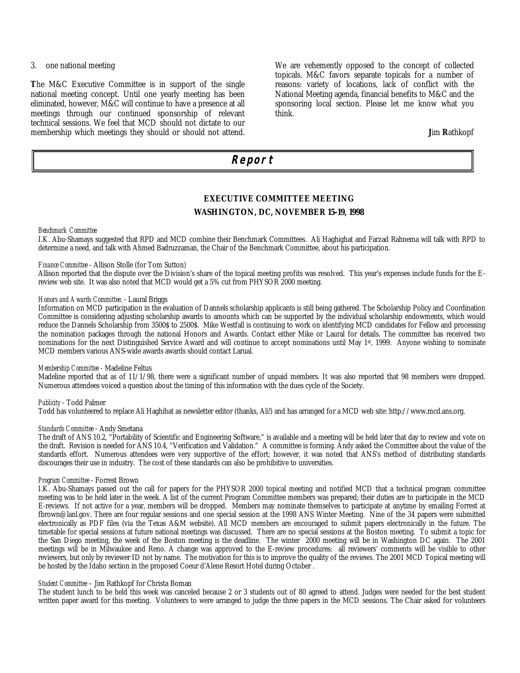## 3. one national meeting

**T**he M&C Executive Committee is in support of the single national meeting concept. Until one yearly meeting has been eliminated, however, M&C will continue to have a presence at all meetings through our continued sponsorship of relevant technical sessions. We feel that MCD should not dictate to our membership which meetings they should or should not attend. We are vehemently opposed to the concept of collected topicals. M&C favors separate topicals for a number of reasons: variety of locations, lack of conflict with the National Meeting agenda, financial benefits to M&C and the sponsoring local section. Please let me know what you think.

#### **J**im **R**athkopf

## **Report**

## **EXECUTIVE COMMITTEE MEETING WASHINGTON, DC, NOVEMBER 15-19, 1998**

#### *Benchmark Committee*

I.K. Abu-Shamays suggested that RPD and MCD combine their Benchmark Committees. Ali Haghighat and Farzad Rahnema will talk with RPD to determine a need, and talk with Ahmed Badruzzaman, the Chair of the Benchmark Committee, about his participation.

#### *Finance Committee* - Allison Stolle (for Tom Sutton)

Allison reported that the dispute over the Division's share of the topical meeting profits was resolved. This year's expenses include funds for the Ereview web site. It was also noted that MCD would get a 5% cut from PHYSOR 2000 meeting.

## *Honors and Awards Committee*. - Laural Briggs

Information on MCD participation in the evaluation of Dannels scholarship applicants is still being gathered. The Scholarship Policy and Coordination Committee is considering adjusting scholarship awards to amounts which can be supported by the individual scholarship endowments, which would reduce the Dannels Scholarship from 3500\$ to 2500\$. Mike Westfall is continuing to work on identifying MCD candidates for Fellow and processing the nomination packages through the national Honors and Awards. Contact either Mike or Laural for details. The committee has received two nominations for the next Distinguished Service Award and will continue to accept nominations until May 1<sup>st</sup>, 1999. Anyone wishing to nominate MCD members various ANS-wide awards awards should contact Larual.

#### *Membership Committee* - Madeline Feltus

Madeline reported that as of 11/1/98, there were a significant number of unpaid members. It was also reported that 98 members were dropped. Numerous attendees voiced a question about the timing of this information with the dues cycle of the Society.

## *Publicity* - Todd Palmer

Todd has volunteered to replace Ali Haghihat as newsletter editor (thanks, Ali!) and has arranged for a MCD web site: http://www.mcd.ans.org.

#### *Standards Committee* - Andy Smetana

The draft of ANS 10.2, "Portability of Scientific and Engineering Software," is available and a meeting will be held later that day to review and vote on the draft. Revision is needed for ANS 10.4, "Verification and Validation." A committee is forming. Andy asked the Committee about the value of the standards effort. Numerous attendees were very supportive of the effort; however, it was noted that ANS's method of distributing standards discourages their use in industry. The cost of these standards can also be prohibitive to universities.

#### *Program Committee* - Forrest Brown

I.K. Abu-Shamays passed out the call for papers for the PHYSOR 2000 topical meeting and notified MCD that a technical program committee meeting was to be held later in the week. A list of the current Program Committee members was prepared; their duties are to participate in the MCD E-reviews. If not active for a year, members will be dropped. Members may nominate themselves to participate at anytime by emailing Forrest at fbrown@lanl.gov. There are four regular sessions and one special session at the 1998 ANS Winter Meeting. Nine of the 34 papers were submitted electronically as PDF files (via the Texas A&M website). All MCD members are encouraged to submit papers electronically in the future. The timetable for special sessions at future national meetings was discussed. There are no special sessions at the Boston meeting. To submit a topic for the San Diego meeting, the week of the Boston meeting is the deadline. The winter 2000 meeting will be in Washington DC again. The 2001 meetings will be in Milwaukee and Reno. A change was approved to the E-review procedures: all reviewers' comments will be visible to other reviewers, but only by reviewer ID not by name. The motivation for this is to improve the quality of the reviews. The 2001 MCD Topical meeting will be hosted by the Idaho section in the proposed Coeur d'Alene Resort Hotel during October .

#### *Student Committee* – Jim Rathkopf for Christa Boman

The student lunch to be held this week was canceled because 2 or 3 students out of 80 agreed to attend. Judges were needed for the best student written paper award for this meeting. Volunteers to were arranged to judge the three papers in the MCD sessions. The Chair asked for volunteers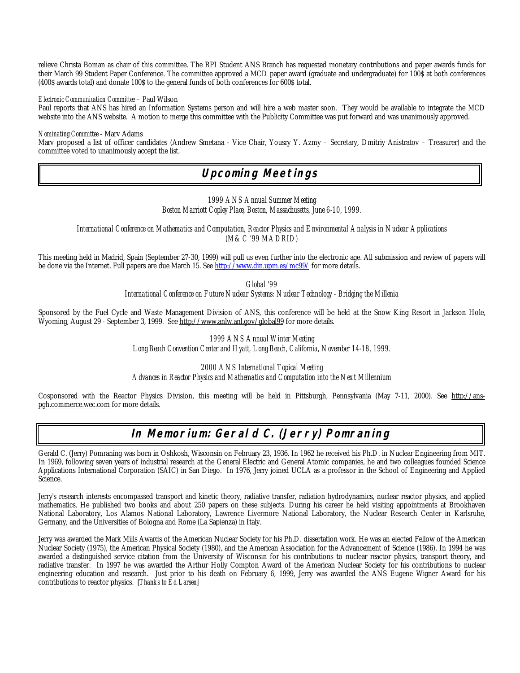relieve Christa Boman as chair of this committee. The RPI Student ANS Branch has requested monetary contributions and paper awards funds for their March 99 Student Paper Conference. The committee approved a MCD paper award (graduate and undergraduate) for 100\$ at both conferences (400\$ awards total) and donate 100\$ to the general funds of both conferences for 600\$ total.

## *Electronic Communication Committee* – Paul Wilson

Paul reports that ANS has hired an Information Systems person and will hire a web master soon. They would be available to integrate the MCD website into the ANS website. A motion to merge this committee with the Publicity Committee was put forward and was unanimously approved.

#### *Nominating Committee* - Marv Adams

Marv proposed a list of officer candidates (Andrew Smetana - Vice Chair, Yousry Y. Azmy – Secretary, Dmitriy Anistratov – Treasurer) and the committee voted to unanimously accept the list.

**Upcoming Meetings**

*1999 ANS Annual Summer Meeting Boston Marriott Copley Place, Boston, Massachusetts, June 6-10, 1999.*

*International Conference on Mathematics and Computation, Reactor Physics and Environmental Analysis in Nuclear Applications (M&C '99 MADRID)*

This meeting held in Madrid, Spain (September 27-30, 1999) will pull us even further into the electronic age. All submission and review of papers will be done via the Internet. Full papers are due March 15. See http://www.din.upm.es/mc99/ for more details.

> *Global '99 International Conference on Future Nuclear Systems: Nuclear Technology - Bridging the Millenia*

Sponsored by the Fuel Cycle and Waste Management Division of ANS, this conference will be held at the Snow King Resort in Jackson Hole, Wyoming, August 29 - September 3, 1999. See http://www.anlw.anl.gov/global99 for more details.

> *1999 ANS Annual Winter Meeting Long Beach Convention Center and Hyatt, Long Beach, California, November 14-18, 1999.*

*2000 ANS International Topical Meeting Advances in Reactor Physics and Mathematics and Computation into the Next Millennium*

Cosponsored with the Reactor Physics Division, this meeting will be held in Pittsburgh, Pennsylvania (May 7-11, 2000). See http://anspgh.commerce.wec.com for more details.

## **In Memorium: Gerald C. (Jerry) Pomraning**

Gerald C. (Jerry) Pomraning was born in Oshkosh, Wisconsin on February 23, 1936. In 1962 he received his Ph.D. in Nuclear Engineering from MIT. In 1969, following seven years of industrial research at the General Electric and General Atomic companies, he and two colleagues founded Science Applications International Corporation (SAIC) in San Diego. In 1976, Jerry joined UCLA as a professor in the School of Engineering and Applied Science.

Jerry's research interests encompassed transport and kinetic theory, radiative transfer, radiation hydrodynamics, nuclear reactor physics, and applied mathematics. He published two books and about 250 papers on these subjects. During his career he held visiting appointments at Brookhaven National Laboratory, Los Alamos National Laboratory, Lawrence Livermore National Laboratory, the Nuclear Research Center in Karlsruhe, Germany, and the Universities of Bologna and Rome (La Sapienza) in Italy.

Jerry was awarded the Mark Mills Awards of the American Nuclear Society for his Ph.D. dissertation work. He was an elected Fellow of the American Nuclear Society (1975), the American Physical Society (1980), and the American Association for the Advancement of Science (1986). In 1994 he was awarded a distinguished service citation from the University of Wisconsin for his contributions to nuclear reactor physics, transport theory, and radiative transfer. In 1997 he was awarded the Arthur Holly Compton Award of the American Nuclear Society for his contributions to nuclear engineering education and research. Just prior to his death on February 6, 1999, Jerry was awarded the ANS Eugene Wigner Award for his contributions to reactor physics. [*Thanks to Ed Larsen*]